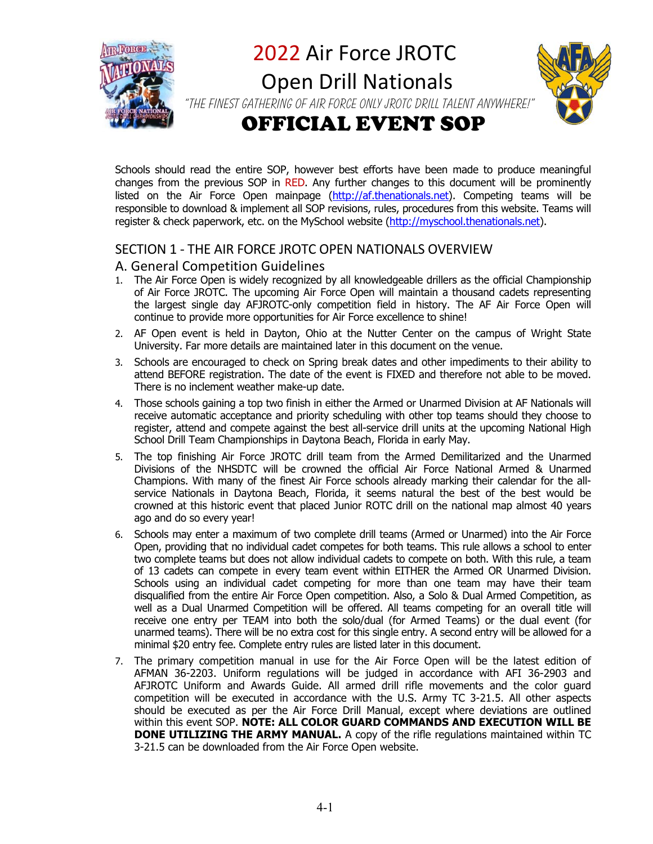

2022 Air Force JROTC

 Open Drill Nationals "The finest gathering of Air Force ONLY JROTC drill talent anywhere!"

# OFFICIAL EVENT SOP

Schools should read the entire SOP, however best efforts have been made to produce meaningful changes from the previous SOP in RED. Any further changes to this document will be prominently listed on the Air Force Open mainpage (http://af.thenationals.net). Competing teams will be responsible to download & implement all SOP revisions, rules, procedures from this website. Teams will register & check paperwork, etc. on the MySchool website (http://myschool.thenationals.net).

## SECTION 1 ‐ THE AIR FORCE JROTC OPEN NATIONALS OVERVIEW

## A. General Competition Guidelines

- 1. The Air Force Open is widely recognized by all knowledgeable drillers as the official Championship of Air Force JROTC. The upcoming Air Force Open will maintain a thousand cadets representing the largest single day AFJROTC-only competition field in history. The AF Air Force Open will continue to provide more opportunities for Air Force excellence to shine!
- 2. AF Open event is held in Dayton, Ohio at the Nutter Center on the campus of Wright State University. Far more details are maintained later in this document on the venue.
- 3. Schools are encouraged to check on Spring break dates and other impediments to their ability to attend BEFORE registration. The date of the event is FIXED and therefore not able to be moved. There is no inclement weather make-up date.
- 4. Those schools gaining a top two finish in either the Armed or Unarmed Division at AF Nationals will receive automatic acceptance and priority scheduling with other top teams should they choose to register, attend and compete against the best all-service drill units at the upcoming National High School Drill Team Championships in Daytona Beach, Florida in early May.
- 5. The top finishing Air Force JROTC drill team from the Armed Demilitarized and the Unarmed Divisions of the NHSDTC will be crowned the official Air Force National Armed & Unarmed Champions. With many of the finest Air Force schools already marking their calendar for the allservice Nationals in Daytona Beach, Florida, it seems natural the best of the best would be crowned at this historic event that placed Junior ROTC drill on the national map almost 40 years ago and do so every year!
- 6. Schools may enter a maximum of two complete drill teams (Armed or Unarmed) into the Air Force Open, providing that no individual cadet competes for both teams. This rule allows a school to enter two complete teams but does not allow individual cadets to compete on both. With this rule, a team of 13 cadets can compete in every team event within EITHER the Armed OR Unarmed Division. Schools using an individual cadet competing for more than one team may have their team disqualified from the entire Air Force Open competition. Also, a Solo & Dual Armed Competition, as well as a Dual Unarmed Competition will be offered. All teams competing for an overall title will receive one entry per TEAM into both the solo/dual (for Armed Teams) or the dual event (for unarmed teams). There will be no extra cost for this single entry. A second entry will be allowed for a minimal \$20 entry fee. Complete entry rules are listed later in this document.
- 7. The primary competition manual in use for the Air Force Open will be the latest edition of AFMAN 36-2203. Uniform regulations will be judged in accordance with AFI 36-2903 and AFJROTC Uniform and Awards Guide. All armed drill rifle movements and the color guard competition will be executed in accordance with the U.S. Army TC 3-21.5. All other aspects should be executed as per the Air Force Drill Manual, except where deviations are outlined within this event SOP. **NOTE: ALL COLOR GUARD COMMANDS AND EXECUTION WILL BE DONE UTILIZING THE ARMY MANUAL.** A copy of the rifle regulations maintained within TC 3-21.5 can be downloaded from the Air Force Open website.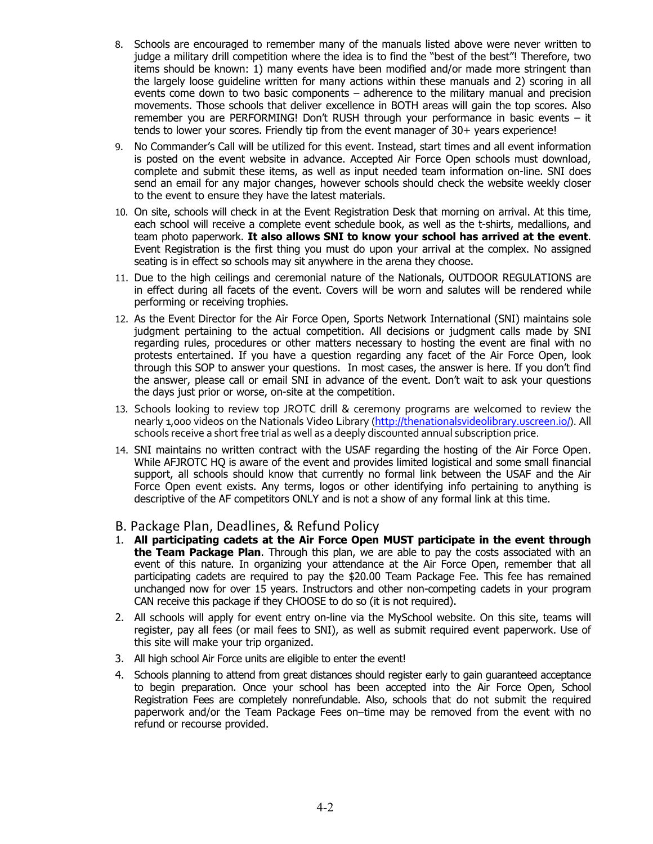- 8. Schools are encouraged to remember many of the manuals listed above were never written to judge a military drill competition where the idea is to find the "best of the best"! Therefore, two items should be known: 1) many events have been modified and/or made more stringent than the largely loose guideline written for many actions within these manuals and 2) scoring in all events come down to two basic components – adherence to the military manual and precision movements. Those schools that deliver excellence in BOTH areas will gain the top scores. Also remember you are PERFORMING! Don't RUSH through your performance in basic events – it tends to lower your scores. Friendly tip from the event manager of 30+ years experience!
- 9. No Commander's Call will be utilized for this event. Instead, start times and all event information is posted on the event website in advance. Accepted Air Force Open schools must download, complete and submit these items, as well as input needed team information on-line. SNI does send an email for any major changes, however schools should check the website weekly closer to the event to ensure they have the latest materials.
- 10. On site, schools will check in at the Event Registration Desk that morning on arrival. At this time, each school will receive a complete event schedule book, as well as the t-shirts, medallions, and team photo paperwork. **It also allows SNI to know your school has arrived at the event**. Event Registration is the first thing you must do upon your arrival at the complex. No assigned seating is in effect so schools may sit anywhere in the arena they choose.
- 11. Due to the high ceilings and ceremonial nature of the Nationals, OUTDOOR REGULATIONS are in effect during all facets of the event. Covers will be worn and salutes will be rendered while performing or receiving trophies.
- 12. As the Event Director for the Air Force Open, Sports Network International (SNI) maintains sole judgment pertaining to the actual competition. All decisions or judgment calls made by SNI regarding rules, procedures or other matters necessary to hosting the event are final with no protests entertained. If you have a question regarding any facet of the Air Force Open, look through this SOP to answer your questions. In most cases, the answer is here. If you don't find the answer, please call or email SNI in advance of the event. Don't wait to ask your questions the days just prior or worse, on-site at the competition.
- 13. Schools looking to review top JROTC drill & ceremony programs are welcomed to review the nearly 1,000 videos on the Nationals Video Library (http://thenationalsvideolibrary.uscreen.io/). All schools receive a short free trial as well as a deeply discounted annual subscription price.
- 14. SNI maintains no written contract with the USAF regarding the hosting of the Air Force Open. While AFJROTC HQ is aware of the event and provides limited logistical and some small financial support, all schools should know that currently no formal link between the USAF and the Air Force Open event exists. Any terms, logos or other identifying info pertaining to anything is descriptive of the AF competitors ONLY and is not a show of any formal link at this time.
- B. Package Plan, Deadlines, & Refund Policy
- 1. **All participating cadets at the Air Force Open MUST participate in the event through the Team Package Plan**. Through this plan, we are able to pay the costs associated with an event of this nature. In organizing your attendance at the Air Force Open, remember that all participating cadets are required to pay the \$20.00 Team Package Fee. This fee has remained unchanged now for over 15 years. Instructors and other non-competing cadets in your program CAN receive this package if they CHOOSE to do so (it is not required).
- 2. All schools will apply for event entry on-line via the MySchool website. On this site, teams will register, pay all fees (or mail fees to SNI), as well as submit required event paperwork. Use of this site will make your trip organized.
- 3. All high school Air Force units are eligible to enter the event!
- 4. Schools planning to attend from great distances should register early to gain guaranteed acceptance to begin preparation. Once your school has been accepted into the Air Force Open, School Registration Fees are completely nonrefundable. Also, schools that do not submit the required paperwork and/or the Team Package Fees on–time may be removed from the event with no refund or recourse provided.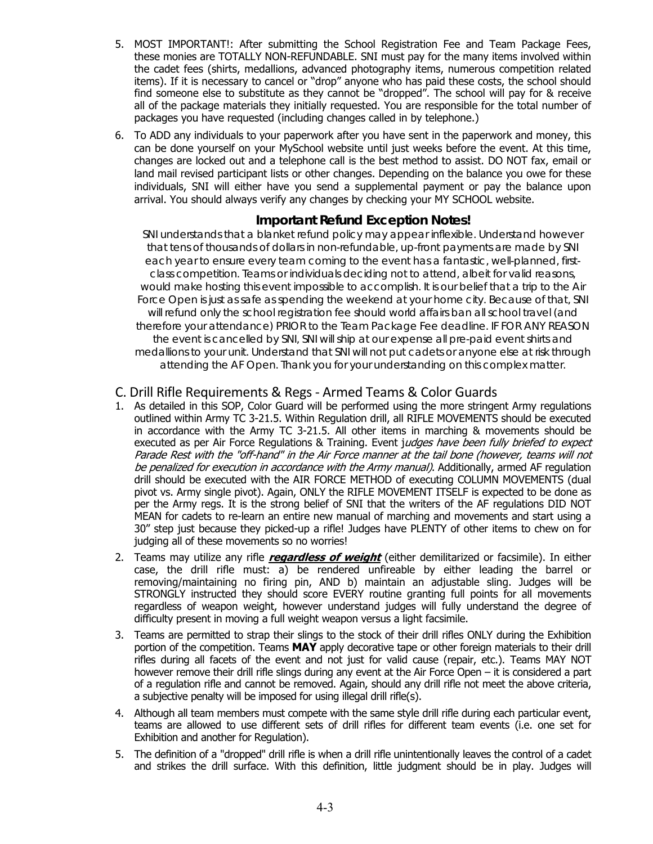- 5. MOST IMPORTANT!: After submitting the School Registration Fee and Team Package Fees, these monies are TOTALLY NON-REFUNDABLE. SNI must pay for the many items involved within the cadet fees (shirts, medallions, advanced photography items, numerous competition related items). If it is necessary to cancel or "drop" anyone who has paid these costs, the school should find someone else to substitute as they cannot be "dropped". The school will pay for & receive all of the package materials they initially requested. You are responsible for the total number of packages you have requested (including changes called in by telephone.)
- 6. To ADD any individuals to your paperwork after you have sent in the paperwork and money, this can be done yourself on your MySchool website until just weeks before the event. At this time, changes are locked out and a telephone call is the best method to assist. DO NOT fax, email or land mail revised participant lists or other changes. Depending on the balance you owe for these individuals, SNI will either have you send a supplemental payment or pay the balance upon arrival. You should always verify any changes by checking your MY SCHOOL website.

# **Important Refund Exception Notes!**

*SNI understands that a blanket refund policy may appear inflexible. Understand however that tens of thousands of dollars in non-refundable, up-front payments are made by SNI each year to ensure every team coming to the event has a fantastic, well-planned, firstclass competition. Teams or individuals deciding not to attend, albeit for valid reasons, would make hosting this event impossible to accomplish. It is our belief that a trip to the Air Force Open is just as safe as spending the weekend at your home city. Because of that, SNI will refund only the school registration fee should world affairs ban all school travel (and therefore your attendance) PRIOR to the Team Package Fee deadline. IF FOR ANY REASON the event is cancelled by SNI, SNI will ship at our expense all pre-paid event shirts and medallions to your unit. Understand that SNI will not put cadets or anyone else at risk through attending the AF Open. Thank you for your understanding on this complex matter.* 

## C. Drill Rifle Requirements & Regs ‐ Armed Teams & Color Guards

- 1. As detailed in this SOP, Color Guard will be performed using the more stringent Army regulations outlined within Army TC 3-21.5. Within Regulation drill, all RIFLE MOVEMENTS should be executed in accordance with the Army TC 3-21.5. All other items in marching & movements should be executed as per Air Force Regulations & Training. Event judges have been fully briefed to expect Parade Rest with the "off-hand" in the Air Force manner at the tail bone (however, teams will not be penalized for execution in accordance with the Army manual). Additionally, armed AF regulation drill should be executed with the AIR FORCE METHOD of executing COLUMN MOVEMENTS (dual pivot vs. Army single pivot). Again, ONLY the RIFLE MOVEMENT ITSELF is expected to be done as per the Army regs. It is the strong belief of SNI that the writers of the AF regulations DID NOT MEAN for cadets to re-learn an entire new manual of marching and movements and start using a 30" step just because they picked-up a rifle! Judges have PLENTY of other items to chew on for judging all of these movements so no worries!
- 2. Teams may utilize any rifle **regardless of weight** (either demilitarized or facsimile). In either case, the drill rifle must: a) be rendered unfireable by either leading the barrel or removing/maintaining no firing pin, AND b) maintain an adjustable sling. Judges will be STRONGLY instructed they should score EVERY routine granting full points for all movements regardless of weapon weight, however understand judges will fully understand the degree of difficulty present in moving a full weight weapon versus a light facsimile.
- 3. Teams are permitted to strap their slings to the stock of their drill rifles ONLY during the Exhibition portion of the competition. Teams **MAY** apply decorative tape or other foreign materials to their drill rifles during all facets of the event and not just for valid cause (repair, etc.). Teams MAY NOT however remove their drill rifle slings during any event at the Air Force Open – it is considered a part of a regulation rifle and cannot be removed. Again, should any drill rifle not meet the above criteria, a subjective penalty will be imposed for using illegal drill rifle(s).
- 4. Although all team members must compete with the same style drill rifle during each particular event, teams are allowed to use different sets of drill rifles for different team events (i.e. one set for Exhibition and another for Regulation).
- 5. The definition of a "dropped" drill rifle is when a drill rifle unintentionally leaves the control of a cadet and strikes the drill surface. With this definition, little judgment should be in play. Judges will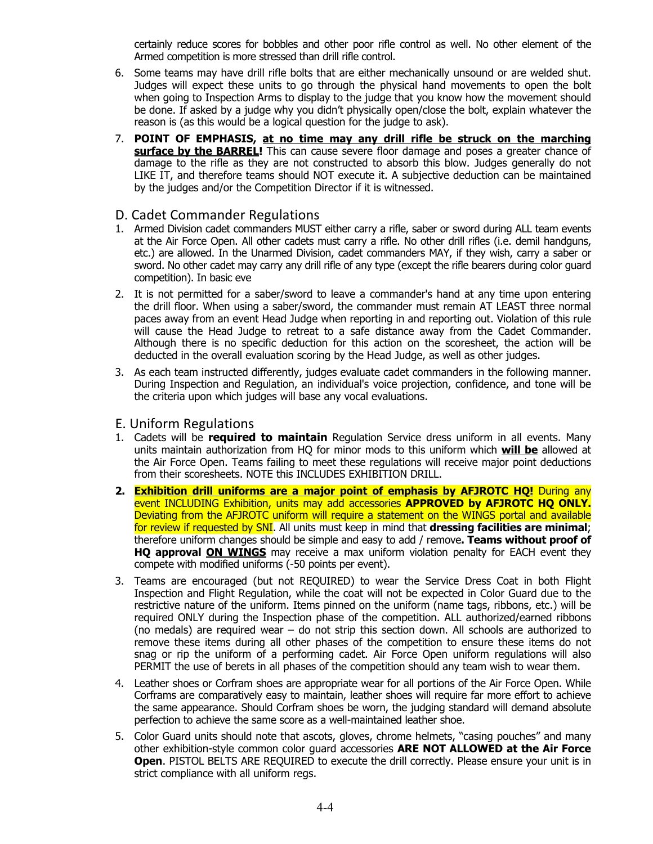certainly reduce scores for bobbles and other poor rifle control as well. No other element of the Armed competition is more stressed than drill rifle control.

- 6. Some teams may have drill rifle bolts that are either mechanically unsound or are welded shut. Judges will expect these units to go through the physical hand movements to open the bolt when going to Inspection Arms to display to the judge that you know how the movement should be done. If asked by a judge why you didn't physically open/close the bolt, explain whatever the reason is (as this would be a logical question for the judge to ask).
- 7. **POINT OF EMPHASIS, at no time may any drill rifle be struck on the marching surface by the BARREL!** This can cause severe floor damage and poses a greater chance of damage to the rifle as they are not constructed to absorb this blow. Judges generally do not LIKE IT, and therefore teams should NOT execute it. A subjective deduction can be maintained by the judges and/or the Competition Director if it is witnessed.

#### D. Cadet Commander Regulations

- 1. Armed Division cadet commanders MUST either carry a rifle, saber or sword during ALL team events at the Air Force Open. All other cadets must carry a rifle. No other drill rifles (i.e. demil handguns, etc.) are allowed. In the Unarmed Division, cadet commanders MAY, if they wish, carry a saber or sword. No other cadet may carry any drill rifle of any type (except the rifle bearers during color guard competition). In basic eve
- 2. It is not permitted for a saber/sword to leave a commander's hand at any time upon entering the drill floor. When using a saber/sword, the commander must remain AT LEAST three normal paces away from an event Head Judge when reporting in and reporting out. Violation of this rule will cause the Head Judge to retreat to a safe distance away from the Cadet Commander. Although there is no specific deduction for this action on the scoresheet, the action will be deducted in the overall evaluation scoring by the Head Judge, as well as other judges.
- 3. As each team instructed differently, judges evaluate cadet commanders in the following manner. During Inspection and Regulation, an individual's voice projection, confidence, and tone will be the criteria upon which judges will base any vocal evaluations.

#### E. Uniform Regulations

- 1. Cadets will be **required to maintain** Regulation Service dress uniform in all events. Many units maintain authorization from HQ for minor mods to this uniform which **will be** allowed at the Air Force Open. Teams failing to meet these regulations will receive major point deductions from their scoresheets. NOTE this INCLUDES EXHIBITION DRILL.
- **2. Exhibition drill uniforms are a major point of emphasis by AFJROTC HQ!** During any event INCLUDING Exhibition, units may add accessories **APPROVED by AFJROTC HQ ONLY.**  Deviating from the AFJROTC uniform will require a statement on the WINGS portal and available for review if requested by SNI. All units must keep in mind that **dressing facilities are minimal**; therefore uniform changes should be simple and easy to add / remove**. Teams without proof of HQ approval ON WINGS** may receive a max uniform violation penalty for EACH event they compete with modified uniforms (-50 points per event).
- 3. Teams are encouraged (but not REQUIRED) to wear the Service Dress Coat in both Flight Inspection and Flight Regulation, while the coat will not be expected in Color Guard due to the restrictive nature of the uniform. Items pinned on the uniform (name tags, ribbons, etc.) will be required ONLY during the Inspection phase of the competition. ALL authorized/earned ribbons (no medals) are required wear – do not strip this section down. All schools are authorized to remove these items during all other phases of the competition to ensure these items do not snag or rip the uniform of a performing cadet. Air Force Open uniform regulations will also PERMIT the use of berets in all phases of the competition should any team wish to wear them.
- 4. Leather shoes or Corfram shoes are appropriate wear for all portions of the Air Force Open. While Corframs are comparatively easy to maintain, leather shoes will require far more effort to achieve the same appearance. Should Corfram shoes be worn, the judging standard will demand absolute perfection to achieve the same score as a well-maintained leather shoe.
- 5. Color Guard units should note that ascots, gloves, chrome helmets, "casing pouches" and many other exhibition-style common color guard accessories **ARE NOT ALLOWED at the Air Force Open.** PISTOL BELTS ARE REQUIRED to execute the drill correctly. Please ensure your unit is in strict compliance with all uniform regs.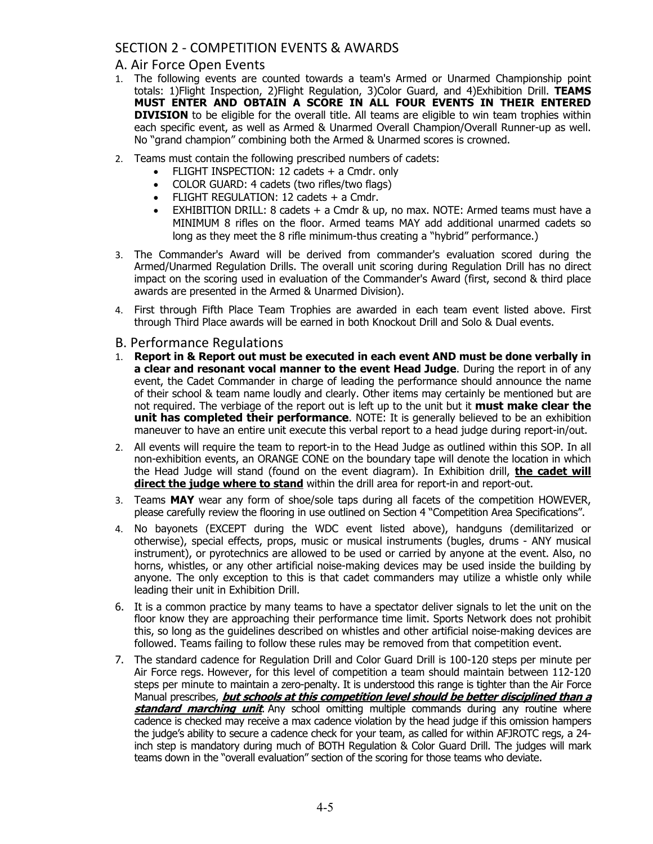# SECTION 2 ‐ COMPETITION EVENTS & AWARDS

## A. Air Force Open Events

- 1. The following events are counted towards a team's Armed or Unarmed Championship point totals: 1)Flight Inspection, 2)Flight Regulation, 3)Color Guard, and 4)Exhibition Drill. **TEAMS MUST ENTER AND OBTAIN A SCORE IN ALL FOUR EVENTS IN THEIR ENTERED DIVISION** to be eligible for the overall title. All teams are eligible to win team trophies within each specific event, as well as Armed & Unarmed Overall Champion/Overall Runner-up as well. No "grand champion" combining both the Armed & Unarmed scores is crowned.
- 2. Teams must contain the following prescribed numbers of cadets:
	- FLIGHT INSPECTION: 12 cadets + a Cmdr. only
	- COLOR GUARD: 4 cadets (two rifles/two flags)
	- FLIGHT REGULATION: 12 cadets + a Cmdr.
	- EXHIBITION DRILL: 8 cadets + a Cmdr & up, no max. NOTE: Armed teams must have a MINIMUM 8 rifles on the floor. Armed teams MAY add additional unarmed cadets so long as they meet the 8 rifle minimum-thus creating a "hybrid" performance.)
- 3. The Commander's Award will be derived from commander's evaluation scored during the Armed/Unarmed Regulation Drills. The overall unit scoring during Regulation Drill has no direct impact on the scoring used in evaluation of the Commander's Award (first, second & third place awards are presented in the Armed & Unarmed Division).
- 4. First through Fifth Place Team Trophies are awarded in each team event listed above. First through Third Place awards will be earned in both Knockout Drill and Solo & Dual events.
- B. Performance Regulations
- 1. **Report in & Report out must be executed in each event AND must be done verbally in a clear and resonant vocal manner to the event Head Judge**. During the report in of any event, the Cadet Commander in charge of leading the performance should announce the name of their school & team name loudly and clearly. Other items may certainly be mentioned but are not required. The verbiage of the report out is left up to the unit but it **must make clear the unit has completed their performance**. NOTE: It is generally believed to be an exhibition maneuver to have an entire unit execute this verbal report to a head judge during report-in/out.
- 2. All events will require the team to report-in to the Head Judge as outlined within this SOP. In all non-exhibition events, an ORANGE CONE on the boundary tape will denote the location in which the Head Judge will stand (found on the event diagram). In Exhibition drill, **the cadet will direct the judge where to stand** within the drill area for report-in and report-out.
- 3. Teams **MAY** wear any form of shoe/sole taps during all facets of the competition HOWEVER, please carefully review the flooring in use outlined on Section 4 "Competition Area Specifications".
- 4. No bayonets (EXCEPT during the WDC event listed above), handguns (demilitarized or otherwise), special effects, props, music or musical instruments (bugles, drums - ANY musical instrument), or pyrotechnics are allowed to be used or carried by anyone at the event. Also, no horns, whistles, or any other artificial noise-making devices may be used inside the building by anyone. The only exception to this is that cadet commanders may utilize a whistle only while leading their unit in Exhibition Drill.
- 6. It is a common practice by many teams to have a spectator deliver signals to let the unit on the floor know they are approaching their performance time limit. Sports Network does not prohibit this, so long as the guidelines described on whistles and other artificial noise-making devices are followed. Teams failing to follow these rules may be removed from that competition event.
- 7. The standard cadence for Regulation Drill and Color Guard Drill is 100-120 steps per minute per Air Force regs. However, for this level of competition a team should maintain between 112-120 steps per minute to maintain a zero-penalty. It is understood this range is tighter than the Air Force Manual prescribes, **but schools at this competition level should be better disciplined than a standard marching unit**. Any school omitting multiple commands during any routine where cadence is checked may receive a max cadence violation by the head judge if this omission hampers the judge's ability to secure a cadence check for your team, as called for within AFJROTC regs, a 24 inch step is mandatory during much of BOTH Regulation & Color Guard Drill. The judges will mark teams down in the "overall evaluation" section of the scoring for those teams who deviate.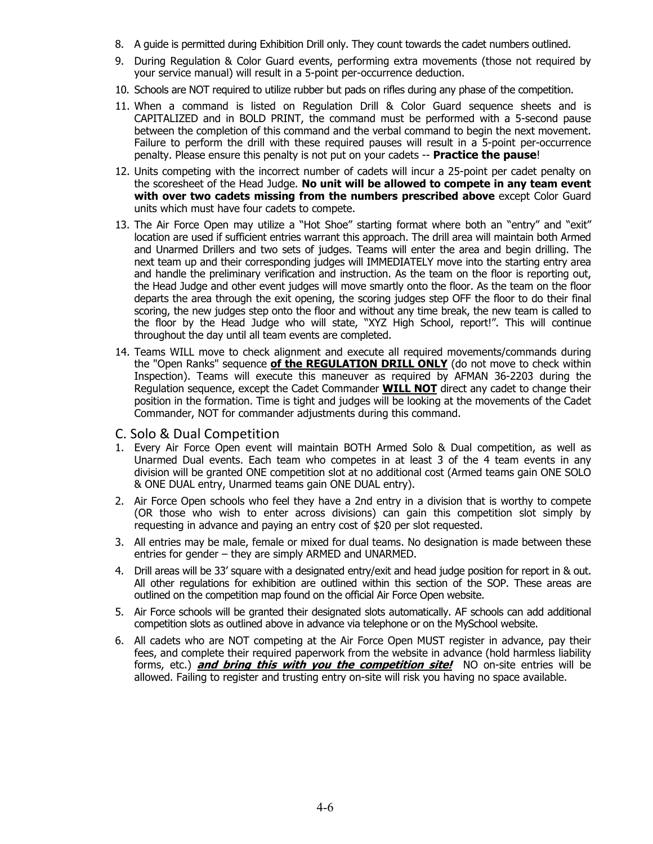- 8. A guide is permitted during Exhibition Drill only. They count towards the cadet numbers outlined.
- 9. During Regulation & Color Guard events, performing extra movements (those not required by your service manual) will result in a 5-point per-occurrence deduction.
- 10. Schools are NOT required to utilize rubber but pads on rifles during any phase of the competition.
- 11. When a command is listed on Regulation Drill & Color Guard sequence sheets and is CAPITALIZED and in BOLD PRINT, the command must be performed with a 5-second pause between the completion of this command and the verbal command to begin the next movement. Failure to perform the drill with these required pauses will result in a 5-point per-occurrence penalty. Please ensure this penalty is not put on your cadets -- **Practice the pause**!
- 12. Units competing with the incorrect number of cadets will incur a 25-point per cadet penalty on the scoresheet of the Head Judge. **No unit will be allowed to compete in any team event with over two cadets missing from the numbers prescribed above** except Color Guard units which must have four cadets to compete.
- 13. The Air Force Open may utilize a "Hot Shoe" starting format where both an "entry" and "exit" location are used if sufficient entries warrant this approach. The drill area will maintain both Armed and Unarmed Drillers and two sets of judges. Teams will enter the area and begin drilling. The next team up and their corresponding judges will IMMEDIATELY move into the starting entry area and handle the preliminary verification and instruction. As the team on the floor is reporting out, the Head Judge and other event judges will move smartly onto the floor. As the team on the floor departs the area through the exit opening, the scoring judges step OFF the floor to do their final scoring, the new judges step onto the floor and without any time break, the new team is called to the floor by the Head Judge who will state, "XYZ High School, report!". This will continue throughout the day until all team events are completed.
- 14. Teams WILL move to check alignment and execute all required movements/commands during the "Open Ranks" sequence **of the REGULATION DRILL ONLY** (do not move to check within Inspection). Teams will execute this maneuver as required by AFMAN 36-2203 during the Regulation sequence, except the Cadet Commander **WILL NOT** direct any cadet to change their position in the formation. Time is tight and judges will be looking at the movements of the Cadet Commander, NOT for commander adjustments during this command.
- C. Solo & Dual Competition
- 1. Every Air Force Open event will maintain BOTH Armed Solo & Dual competition, as well as Unarmed Dual events. Each team who competes in at least 3 of the 4 team events in any division will be granted ONE competition slot at no additional cost (Armed teams gain ONE SOLO & ONE DUAL entry, Unarmed teams gain ONE DUAL entry).
- 2. Air Force Open schools who feel they have a 2nd entry in a division that is worthy to compete (OR those who wish to enter across divisions) can gain this competition slot simply by requesting in advance and paying an entry cost of \$20 per slot requested.
- 3. All entries may be male, female or mixed for dual teams. No designation is made between these entries for gender – they are simply ARMED and UNARMED.
- 4. Drill areas will be 33' square with a designated entry/exit and head judge position for report in & out. All other regulations for exhibition are outlined within this section of the SOP. These areas are outlined on the competition map found on the official Air Force Open website.
- 5. Air Force schools will be granted their designated slots automatically. AF schools can add additional competition slots as outlined above in advance via telephone or on the MySchool website.
- 6. All cadets who are NOT competing at the Air Force Open MUST register in advance, pay their fees, and complete their required paperwork from the website in advance (hold harmless liability forms, etc.) **and bring this with you the competition site!** NO on-site entries will be allowed. Failing to register and trusting entry on-site will risk you having no space available.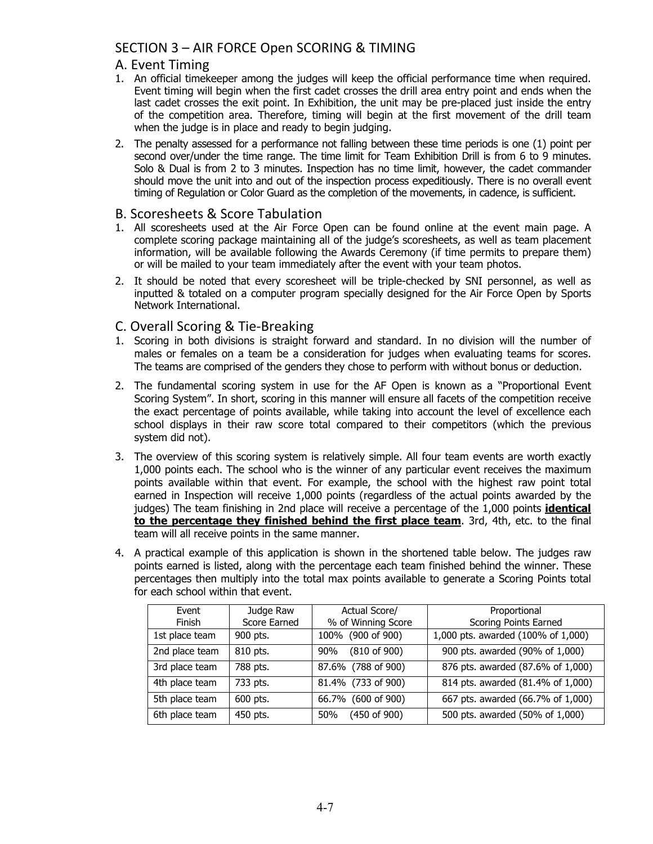# SECTION 3 – AIR FORCE Open SCORING & TIMING

## A. Event Timing

- 1. An official timekeeper among the judges will keep the official performance time when required. Event timing will begin when the first cadet crosses the drill area entry point and ends when the last cadet crosses the exit point. In Exhibition, the unit may be pre-placed just inside the entry of the competition area. Therefore, timing will begin at the first movement of the drill team when the judge is in place and ready to begin judging.
- 2. The penalty assessed for a performance not falling between these time periods is one (1) point per second over/under the time range. The time limit for Team Exhibition Drill is from 6 to 9 minutes. Solo & Dual is from 2 to 3 minutes. Inspection has no time limit, however, the cadet commander should move the unit into and out of the inspection process expeditiously. There is no overall event timing of Regulation or Color Guard as the completion of the movements, in cadence, is sufficient.

#### B. Scoresheets & Score Tabulation

- 1. All scoresheets used at the Air Force Open can be found online at the event main page. A complete scoring package maintaining all of the judge's scoresheets, as well as team placement information, will be available following the Awards Ceremony (if time permits to prepare them) or will be mailed to your team immediately after the event with your team photos.
- 2. It should be noted that every scoresheet will be triple-checked by SNI personnel, as well as inputted & totaled on a computer program specially designed for the Air Force Open by Sports Network International.

## C. Overall Scoring & Tie‐Breaking

- 1. Scoring in both divisions is straight forward and standard. In no division will the number of males or females on a team be a consideration for judges when evaluating teams for scores. The teams are comprised of the genders they chose to perform with without bonus or deduction.
- 2. The fundamental scoring system in use for the AF Open is known as a "Proportional Event Scoring System". In short, scoring in this manner will ensure all facets of the competition receive the exact percentage of points available, while taking into account the level of excellence each school displays in their raw score total compared to their competitors (which the previous system did not).
- 3. The overview of this scoring system is relatively simple. All four team events are worth exactly 1,000 points each. The school who is the winner of any particular event receives the maximum points available within that event. For example, the school with the highest raw point total earned in Inspection will receive 1,000 points (regardless of the actual points awarded by the judges) The team finishing in 2nd place will receive a percentage of the 1,000 points **identical to the percentage they finished behind the first place team**. 3rd, 4th, etc. to the final team will all receive points in the same manner.
- 4. A practical example of this application is shown in the shortened table below. The judges raw points earned is listed, along with the percentage each team finished behind the winner. These percentages then multiply into the total max points available to generate a Scoring Points total for each school within that event.

| Event          | Judge Raw    | Actual Score/                  | Proportional                       |
|----------------|--------------|--------------------------------|------------------------------------|
| Finish         | Score Earned | % of Winning Score             | Scoring Points Earned              |
| 1st place team | 900 pts.     | 100% (900 of 900)              | 1,000 pts. awarded (100% of 1,000) |
| 2nd place team | 810 pts.     | $(810 \text{ of } 900)$<br>90% | 900 pts. awarded (90% of 1,000)    |
| 3rd place team | 788 pts.     | 87.6% (788 of 900)             | 876 pts. awarded (87.6% of 1,000)  |
| 4th place team | 733 pts.     | 81.4% (733 of 900)             | 814 pts. awarded (81.4% of 1,000)  |
| 5th place team | 600 pts.     | 66.7% (600 of 900)             | 667 pts. awarded (66.7% of 1,000)  |
| 6th place team | 450 pts.     | (450 of 900)<br>50%            | 500 pts. awarded (50% of 1,000)    |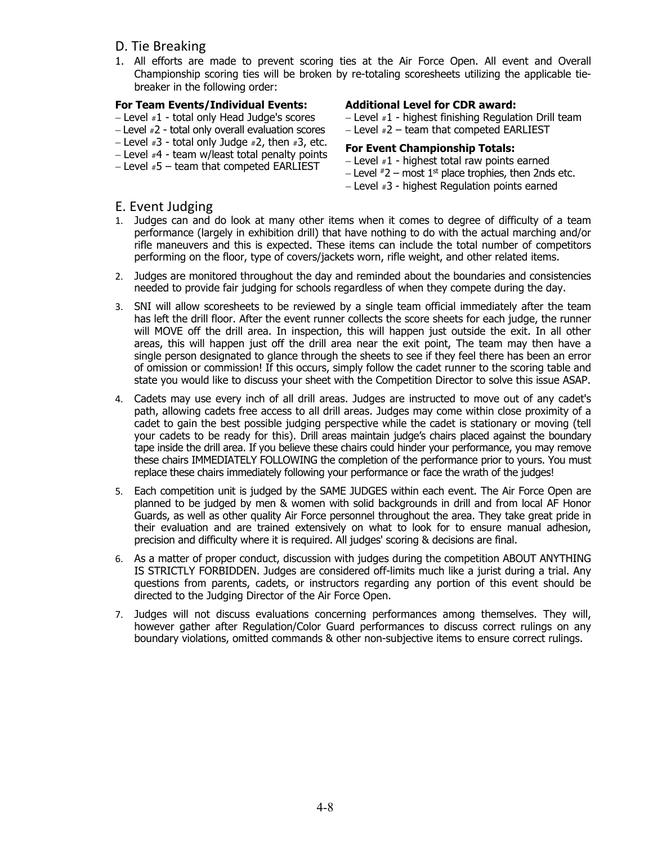- D. Tie Breaking
- 1. All efforts are made to prevent scoring ties at the Air Force Open. All event and Overall Championship scoring ties will be broken by re-totaling scoresheets utilizing the applicable tiebreaker in the following order:

#### **For Team Events/Individual Events:**

- $-$  Level  $*1$  total only Head Judge's scores
- Level #2 total only overall evaluation scores
- $-$  Level  $*3$  total only Judge  $*2$ , then  $*3$ , etc.
- $-$  Level  $#$ 4 team w/least total penalty points
- $-$  Level  $*5$  team that competed EARLIEST

#### **Additional Level for CDR award:**

- $-$  Level  $*1$  highest finishing Regulation Drill team
- $-$  Level  $*2$  team that competed EARLIEST

#### **For Event Championship Totals:**

- $-$  Level  $*1$  highest total raw points earned
- Level  $*2$  most 1<sup>st</sup> place trophies, then 2nds etc.
- $-$  Level  $*3$  highest Regulation points earned

#### E. Event Judging

- 1. Judges can and do look at many other items when it comes to degree of difficulty of a team performance (largely in exhibition drill) that have nothing to do with the actual marching and/or rifle maneuvers and this is expected. These items can include the total number of competitors performing on the floor, type of covers/jackets worn, rifle weight, and other related items.
- 2. Judges are monitored throughout the day and reminded about the boundaries and consistencies needed to provide fair judging for schools regardless of when they compete during the day.
- 3. SNI will allow scoresheets to be reviewed by a single team official immediately after the team has left the drill floor. After the event runner collects the score sheets for each judge, the runner will MOVE off the drill area. In inspection, this will happen just outside the exit. In all other areas, this will happen just off the drill area near the exit point, The team may then have a single person designated to glance through the sheets to see if they feel there has been an error of omission or commission! If this occurs, simply follow the cadet runner to the scoring table and state you would like to discuss your sheet with the Competition Director to solve this issue ASAP.
- 4. Cadets may use every inch of all drill areas. Judges are instructed to move out of any cadet's path, allowing cadets free access to all drill areas. Judges may come within close proximity of a cadet to gain the best possible judging perspective while the cadet is stationary or moving (tell your cadets to be ready for this). Drill areas maintain judge's chairs placed against the boundary tape inside the drill area. If you believe these chairs could hinder your performance, you may remove these chairs IMMEDIATELY FOLLOWING the completion of the performance prior to yours. You must replace these chairs immediately following your performance or face the wrath of the judges!
- 5. Each competition unit is judged by the SAME JUDGES within each event. The Air Force Open are planned to be judged by men & women with solid backgrounds in drill and from local AF Honor Guards, as well as other quality Air Force personnel throughout the area. They take great pride in their evaluation and are trained extensively on what to look for to ensure manual adhesion, precision and difficulty where it is required. All judges' scoring & decisions are final.
- 6. As a matter of proper conduct, discussion with judges during the competition ABOUT ANYTHING IS STRICTLY FORBIDDEN. Judges are considered off-limits much like a jurist during a trial. Any questions from parents, cadets, or instructors regarding any portion of this event should be directed to the Judging Director of the Air Force Open.
- 7. Judges will not discuss evaluations concerning performances among themselves. They will, however gather after Regulation/Color Guard performances to discuss correct rulings on any boundary violations, omitted commands & other non-subjective items to ensure correct rulings.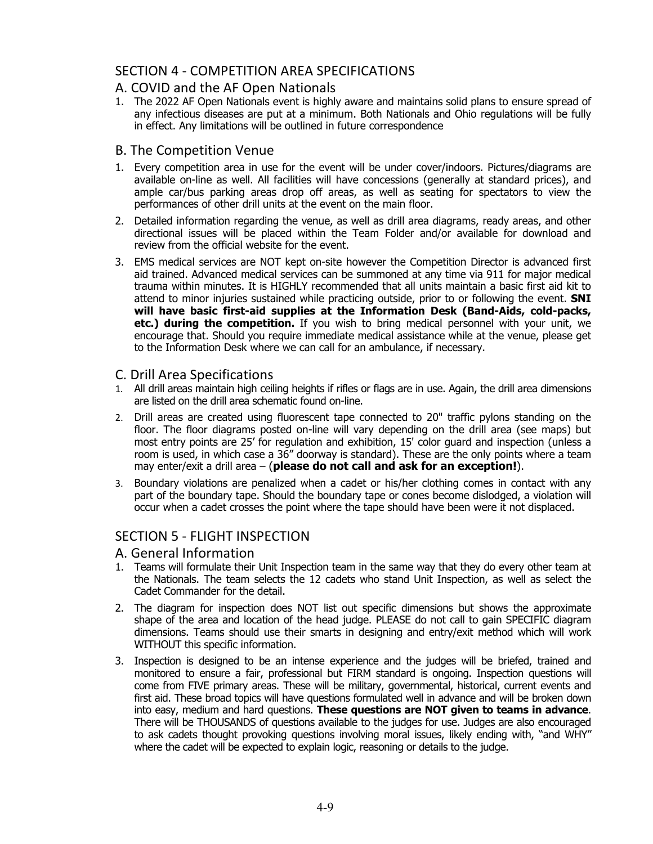## SECTION 4 ‐ COMPETITION AREA SPECIFICATIONS

## A. COVID and the AF Open Nationals

1. The 2022 AF Open Nationals event is highly aware and maintains solid plans to ensure spread of any infectious diseases are put at a minimum. Both Nationals and Ohio regulations will be fully in effect. Any limitations will be outlined in future correspondence

#### B. The Competition Venue

- 1. Every competition area in use for the event will be under cover/indoors. Pictures/diagrams are available on-line as well. All facilities will have concessions (generally at standard prices), and ample car/bus parking areas drop off areas, as well as seating for spectators to view the performances of other drill units at the event on the main floor.
- 2. Detailed information regarding the venue, as well as drill area diagrams, ready areas, and other directional issues will be placed within the Team Folder and/or available for download and review from the official website for the event.
- 3. EMS medical services are NOT kept on-site however the Competition Director is advanced first aid trained. Advanced medical services can be summoned at any time via 911 for major medical trauma within minutes. It is HIGHLY recommended that all units maintain a basic first aid kit to attend to minor injuries sustained while practicing outside, prior to or following the event. **SNI will have basic first-aid supplies at the Information Desk (Band-Aids, cold-packs, etc.) during the competition.** If you wish to bring medical personnel with your unit, we encourage that. Should you require immediate medical assistance while at the venue, please get to the Information Desk where we can call for an ambulance, if necessary.

#### C. Drill Area Specifications

- 1. All drill areas maintain high ceiling heights if rifles or flags are in use. Again, the drill area dimensions are listed on the drill area schematic found on-line.
- 2. Drill areas are created using fluorescent tape connected to 20" traffic pylons standing on the floor. The floor diagrams posted on-line will vary depending on the drill area (see maps) but most entry points are 25' for regulation and exhibition, 15' color guard and inspection (unless a room is used, in which case a 36" doorway is standard). These are the only points where a team may enter/exit a drill area – (**please do not call and ask for an exception!**).
- 3. Boundary violations are penalized when a cadet or his/her clothing comes in contact with any part of the boundary tape. Should the boundary tape or cones become dislodged, a violation will occur when a cadet crosses the point where the tape should have been were it not displaced.

## SECTION 5 ‐ FLIGHT INSPECTION

- A. General Information
- 1. Teams will formulate their Unit Inspection team in the same way that they do every other team at the Nationals. The team selects the 12 cadets who stand Unit Inspection, as well as select the Cadet Commander for the detail.
- 2. The diagram for inspection does NOT list out specific dimensions but shows the approximate shape of the area and location of the head judge. PLEASE do not call to gain SPECIFIC diagram dimensions. Teams should use their smarts in designing and entry/exit method which will work WITHOUT this specific information.
- 3. Inspection is designed to be an intense experience and the judges will be briefed, trained and monitored to ensure a fair, professional but FIRM standard is ongoing. Inspection questions will come from FIVE primary areas. These will be military, governmental, historical, current events and first aid. These broad topics will have questions formulated well in advance and will be broken down into easy, medium and hard questions. **These questions are NOT given to teams in advance**. There will be THOUSANDS of questions available to the judges for use. Judges are also encouraged to ask cadets thought provoking questions involving moral issues, likely ending with, "and WHY" where the cadet will be expected to explain logic, reasoning or details to the judge.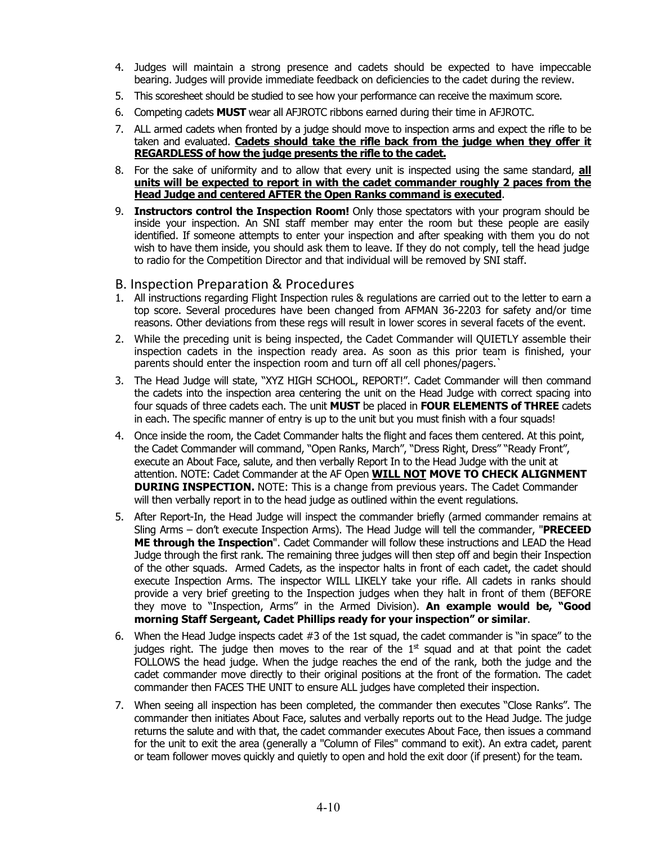- 4. Judges will maintain a strong presence and cadets should be expected to have impeccable bearing. Judges will provide immediate feedback on deficiencies to the cadet during the review.
- 5. This scoresheet should be studied to see how your performance can receive the maximum score.
- 6. Competing cadets **MUST** wear all AFJROTC ribbons earned during their time in AFJROTC.
- 7. ALL armed cadets when fronted by a judge should move to inspection arms and expect the rifle to be taken and evaluated. **Cadets should take the rifle back from the judge when they offer it REGARDLESS of how the judge presents the rifle to the cadet.**
- 8. For the sake of uniformity and to allow that every unit is inspected using the same standard, **all units will be expected to report in with the cadet commander roughly 2 paces from the Head Judge and centered AFTER the Open Ranks command is executed**.
- 9. **Instructors control the Inspection Room!** Only those spectators with your program should be inside your inspection. An SNI staff member may enter the room but these people are easily identified. If someone attempts to enter your inspection and after speaking with them you do not wish to have them inside, you should ask them to leave. If they do not comply, tell the head judge to radio for the Competition Director and that individual will be removed by SNI staff.

#### B. Inspection Preparation & Procedures

- 1. All instructions regarding Flight Inspection rules & regulations are carried out to the letter to earn a top score. Several procedures have been changed from AFMAN 36-2203 for safety and/or time reasons. Other deviations from these regs will result in lower scores in several facets of the event.
- 2. While the preceding unit is being inspected, the Cadet Commander will QUIETLY assemble their inspection cadets in the inspection ready area. As soon as this prior team is finished, your parents should enter the inspection room and turn off all cell phones/pagers.`
- 3. The Head Judge will state, "XYZ HIGH SCHOOL, REPORT!". Cadet Commander will then command the cadets into the inspection area centering the unit on the Head Judge with correct spacing into four squads of three cadets each. The unit **MUST** be placed in **FOUR ELEMENTS of THREE** cadets in each. The specific manner of entry is up to the unit but you must finish with a four squads!
- 4. Once inside the room, the Cadet Commander halts the flight and faces them centered. At this point, the Cadet Commander will command, "Open Ranks, March", "Dress Right, Dress" "Ready Front", execute an About Face, salute, and then verbally Report In to the Head Judge with the unit at attention. NOTE: Cadet Commander at the AF Open **WILL NOT MOVE TO CHECK ALIGNMENT DURING INSPECTION.** NOTE: This is a change from previous years. The Cadet Commander will then verbally report in to the head judge as outlined within the event regulations.
- 5. After Report-In, the Head Judge will inspect the commander briefly (armed commander remains at Sling Arms – don't execute Inspection Arms). The Head Judge will tell the commander, "**PRECEED ME through the Inspection**". Cadet Commander will follow these instructions and LEAD the Head Judge through the first rank. The remaining three judges will then step off and begin their Inspection of the other squads. Armed Cadets, as the inspector halts in front of each cadet, the cadet should execute Inspection Arms. The inspector WILL LIKELY take your rifle. All cadets in ranks should provide a very brief greeting to the Inspection judges when they halt in front of them (BEFORE they move to "Inspection, Arms" in the Armed Division). **An example would be, "Good morning Staff Sergeant, Cadet Phillips ready for your inspection" or similar**.
- 6. When the Head Judge inspects cadet #3 of the 1st squad, the cadet commander is "in space" to the judges right. The judge then moves to the rear of the  $1<sup>st</sup>$  squad and at that point the cadet FOLLOWS the head judge. When the judge reaches the end of the rank, both the judge and the cadet commander move directly to their original positions at the front of the formation. The cadet commander then FACES THE UNIT to ensure ALL judges have completed their inspection.
- 7. When seeing all inspection has been completed, the commander then executes "Close Ranks". The commander then initiates About Face, salutes and verbally reports out to the Head Judge. The judge returns the salute and with that, the cadet commander executes About Face, then issues a command for the unit to exit the area (generally a "Column of Files" command to exit). An extra cadet, parent or team follower moves quickly and quietly to open and hold the exit door (if present) for the team.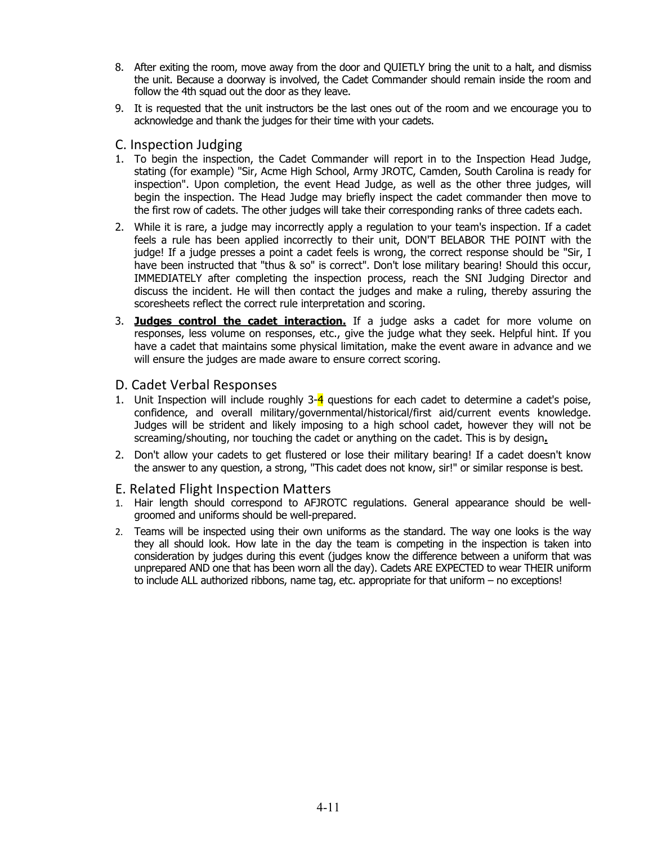- 8. After exiting the room, move away from the door and QUIETLY bring the unit to a halt, and dismiss the unit. Because a doorway is involved, the Cadet Commander should remain inside the room and follow the 4th squad out the door as they leave.
- 9. It is requested that the unit instructors be the last ones out of the room and we encourage you to acknowledge and thank the judges for their time with your cadets.

#### C. Inspection Judging

- 1. To begin the inspection, the Cadet Commander will report in to the Inspection Head Judge, stating (for example) "Sir, Acme High School, Army JROTC, Camden, South Carolina is ready for inspection". Upon completion, the event Head Judge, as well as the other three judges, will begin the inspection. The Head Judge may briefly inspect the cadet commander then move to the first row of cadets. The other judges will take their corresponding ranks of three cadets each.
- 2. While it is rare, a judge may incorrectly apply a regulation to your team's inspection. If a cadet feels a rule has been applied incorrectly to their unit, DON'T BELABOR THE POINT with the judge! If a judge presses a point a cadet feels is wrong, the correct response should be "Sir, I have been instructed that "thus & so" is correct". Don't lose military bearing! Should this occur, IMMEDIATELY after completing the inspection process, reach the SNI Judging Director and discuss the incident. He will then contact the judges and make a ruling, thereby assuring the scoresheets reflect the correct rule interpretation and scoring.
- 3. **Judges control the cadet interaction.** If a judge asks a cadet for more volume on responses, less volume on responses, etc., give the judge what they seek. Helpful hint. If you have a cadet that maintains some physical limitation, make the event aware in advance and we will ensure the judges are made aware to ensure correct scoring.

#### D. Cadet Verbal Responses

- 1. Unit Inspection will include roughly 3-4 questions for each cadet to determine a cadet's poise, confidence, and overall military/governmental/historical/first aid/current events knowledge. Judges will be strident and likely imposing to a high school cadet, however they will not be screaming/shouting, nor touching the cadet or anything on the cadet. This is by design**.**
- 2. Don't allow your cadets to get flustered or lose their military bearing! If a cadet doesn't know the answer to any question, a strong, "This cadet does not know, sir!" or similar response is best.

#### E. Related Flight Inspection Matters

- 1. Hair length should correspond to AFJROTC regulations. General appearance should be wellgroomed and uniforms should be well-prepared.
- 2. Teams will be inspected using their own uniforms as the standard. The way one looks is the way they all should look. How late in the day the team is competing in the inspection is taken into consideration by judges during this event (judges know the difference between a uniform that was unprepared AND one that has been worn all the day). Cadets ARE EXPECTED to wear THEIR uniform to include ALL authorized ribbons, name tag, etc. appropriate for that uniform – no exceptions!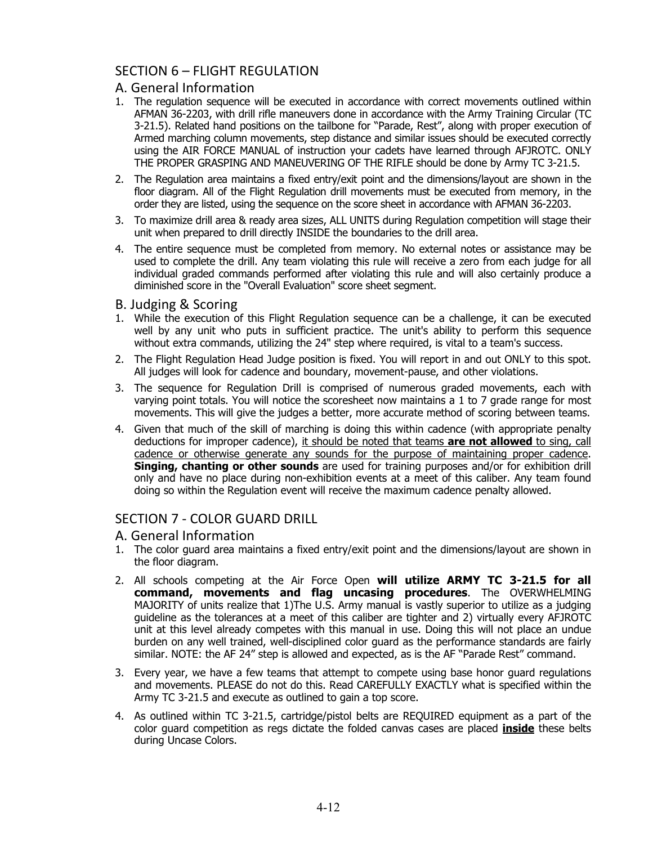## SECTION 6 – FLIGHT REGULATION

#### A. General Information

- 1. The regulation sequence will be executed in accordance with correct movements outlined within AFMAN 36-2203, with drill rifle maneuvers done in accordance with the Army Training Circular (TC 3-21.5). Related hand positions on the tailbone for "Parade, Rest", along with proper execution of Armed marching column movements, step distance and similar issues should be executed correctly using the AIR FORCE MANUAL of instruction your cadets have learned through AFJROTC. ONLY THE PROPER GRASPING AND MANEUVERING OF THE RIFLE should be done by Army TC 3-21.5.
- 2. The Regulation area maintains a fixed entry/exit point and the dimensions/layout are shown in the floor diagram. All of the Flight Regulation drill movements must be executed from memory, in the order they are listed, using the sequence on the score sheet in accordance with AFMAN 36-2203.
- 3. To maximize drill area & ready area sizes, ALL UNITS during Regulation competition will stage their unit when prepared to drill directly INSIDE the boundaries to the drill area.
- 4. The entire sequence must be completed from memory. No external notes or assistance may be used to complete the drill. Any team violating this rule will receive a zero from each judge for all individual graded commands performed after violating this rule and will also certainly produce a diminished score in the "Overall Evaluation" score sheet segment.

#### B. Judging & Scoring

- 1. While the execution of this Flight Regulation sequence can be a challenge, it can be executed well by any unit who puts in sufficient practice. The unit's ability to perform this sequence without extra commands, utilizing the 24" step where required, is vital to a team's success.
- 2. The Flight Regulation Head Judge position is fixed. You will report in and out ONLY to this spot. All judges will look for cadence and boundary, movement-pause, and other violations.
- 3. The sequence for Regulation Drill is comprised of numerous graded movements, each with varying point totals. You will notice the scoresheet now maintains a 1 to 7 grade range for most movements. This will give the judges a better, more accurate method of scoring between teams.
- 4. Given that much of the skill of marching is doing this within cadence (with appropriate penalty deductions for improper cadence), it should be noted that teams **are not allowed** to sing, call cadence or otherwise generate any sounds for the purpose of maintaining proper cadence. **Singing, chanting or other sounds** are used for training purposes and/or for exhibition drill only and have no place during non-exhibition events at a meet of this caliber. Any team found doing so within the Regulation event will receive the maximum cadence penalty allowed.

#### SECTION 7 ‐ COLOR GUARD DRILL

- A. General Information
- 1. The color guard area maintains a fixed entry/exit point and the dimensions/layout are shown in the floor diagram.
- 2. All schools competing at the Air Force Open **will utilize ARMY TC 3-21.5 for all command, movements and flag uncasing procedures**. The OVERWHELMING MAJORITY of units realize that 1)The U.S. Army manual is vastly superior to utilize as a judging guideline as the tolerances at a meet of this caliber are tighter and 2) virtually every AFJROTC unit at this level already competes with this manual in use. Doing this will not place an undue burden on any well trained, well-disciplined color guard as the performance standards are fairly similar. NOTE: the AF 24" step is allowed and expected, as is the AF "Parade Rest" command.
- 3. Every year, we have a few teams that attempt to compete using base honor guard regulations and movements. PLEASE do not do this. Read CAREFULLY EXACTLY what is specified within the Army TC 3-21.5 and execute as outlined to gain a top score.
- 4. As outlined within TC 3-21.5, cartridge/pistol belts are REQUIRED equipment as a part of the color guard competition as regs dictate the folded canvas cases are placed **inside** these belts during Uncase Colors.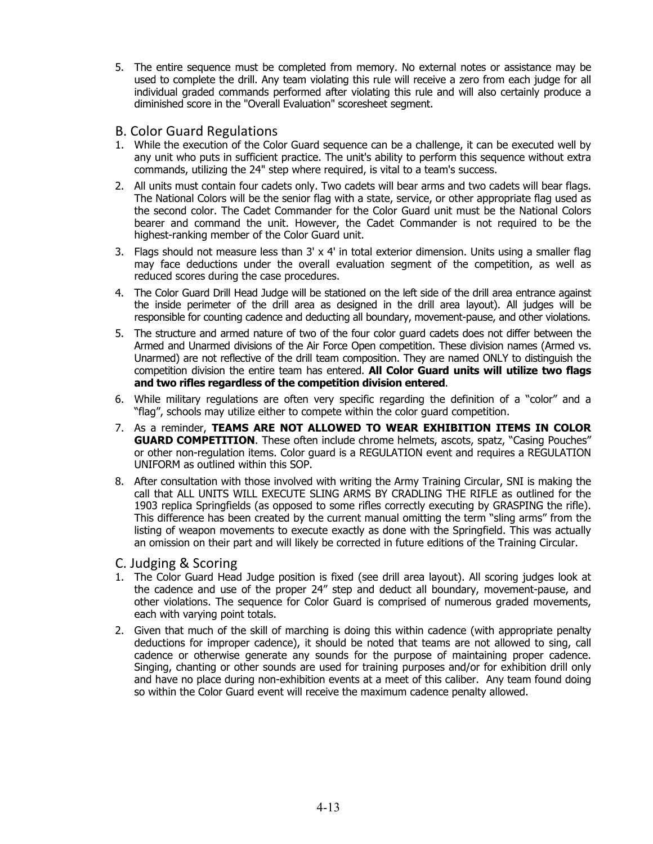- 5. The entire sequence must be completed from memory. No external notes or assistance may be used to complete the drill. Any team violating this rule will receive a zero from each judge for all individual graded commands performed after violating this rule and will also certainly produce a diminished score in the "Overall Evaluation" scoresheet segment.
- B. Color Guard Regulations
- 1. While the execution of the Color Guard sequence can be a challenge, it can be executed well by any unit who puts in sufficient practice. The unit's ability to perform this sequence without extra commands, utilizing the 24" step where required, is vital to a team's success.
- 2. All units must contain four cadets only. Two cadets will bear arms and two cadets will bear flags. The National Colors will be the senior flag with a state, service, or other appropriate flag used as the second color. The Cadet Commander for the Color Guard unit must be the National Colors bearer and command the unit. However, the Cadet Commander is not required to be the highest-ranking member of the Color Guard unit.
- 3. Flags should not measure less than  $3' \times 4'$  in total exterior dimension. Units using a smaller flag may face deductions under the overall evaluation segment of the competition, as well as reduced scores during the case procedures.
- 4. The Color Guard Drill Head Judge will be stationed on the left side of the drill area entrance against the inside perimeter of the drill area as designed in the drill area layout). All judges will be responsible for counting cadence and deducting all boundary, movement-pause, and other violations.
- 5. The structure and armed nature of two of the four color guard cadets does not differ between the Armed and Unarmed divisions of the Air Force Open competition. These division names (Armed vs. Unarmed) are not reflective of the drill team composition. They are named ONLY to distinguish the competition division the entire team has entered. **All Color Guard units will utilize two flags and two rifles regardless of the competition division entered**.
- 6. While military regulations are often very specific regarding the definition of a "color" and a "flag", schools may utilize either to compete within the color guard competition.
- 7. As a reminder, **TEAMS ARE NOT ALLOWED TO WEAR EXHIBITION ITEMS IN COLOR GUARD COMPETITION**. These often include chrome helmets, ascots, spatz, "Casing Pouches" or other non-regulation items. Color guard is a REGULATION event and requires a REGULATION UNIFORM as outlined within this SOP.
- 8. After consultation with those involved with writing the Army Training Circular, SNI is making the call that ALL UNITS WILL EXECUTE SLING ARMS BY CRADLING THE RIFLE as outlined for the 1903 replica Springfields (as opposed to some rifles correctly executing by GRASPING the rifle). This difference has been created by the current manual omitting the term "sling arms" from the listing of weapon movements to execute exactly as done with the Springfield. This was actually an omission on their part and will likely be corrected in future editions of the Training Circular.
- C. Judging & Scoring
- 1. The Color Guard Head Judge position is fixed (see drill area layout). All scoring judges look at the cadence and use of the proper 24" step and deduct all boundary, movement-pause, and other violations. The sequence for Color Guard is comprised of numerous graded movements, each with varying point totals.
- 2. Given that much of the skill of marching is doing this within cadence (with appropriate penalty deductions for improper cadence), it should be noted that teams are not allowed to sing, call cadence or otherwise generate any sounds for the purpose of maintaining proper cadence. Singing, chanting or other sounds are used for training purposes and/or for exhibition drill only and have no place during non-exhibition events at a meet of this caliber. Any team found doing so within the Color Guard event will receive the maximum cadence penalty allowed.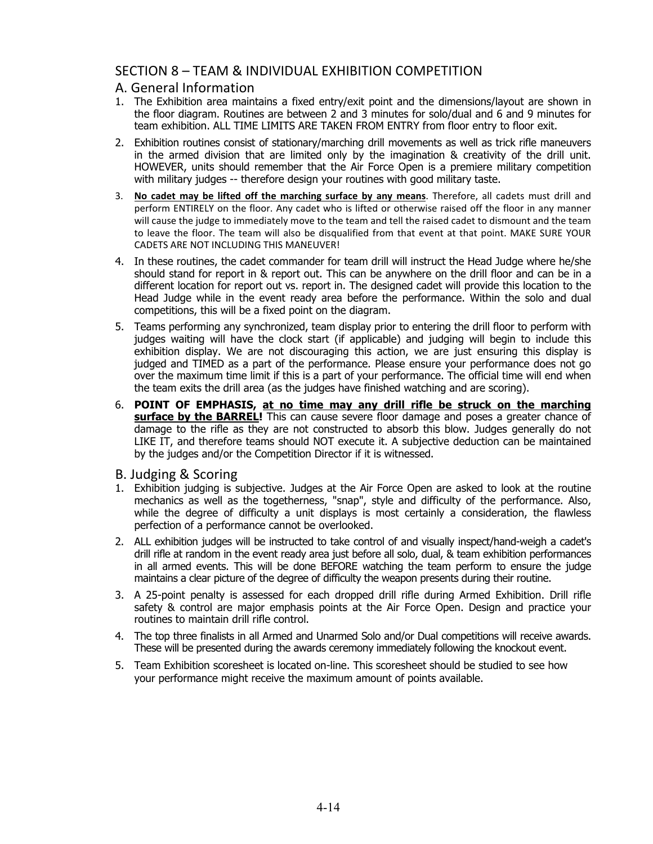## SECTION 8 – TEAM & INDIVIDUAL EXHIBITION COMPETITION

#### A. General Information

- 1. The Exhibition area maintains a fixed entry/exit point and the dimensions/layout are shown in the floor diagram. Routines are between 2 and 3 minutes for solo/dual and 6 and 9 minutes for team exhibition. ALL TIME LIMITS ARE TAKEN FROM ENTRY from floor entry to floor exit.
- 2. Exhibition routines consist of stationary/marching drill movements as well as trick rifle maneuvers in the armed division that are limited only by the imagination & creativity of the drill unit. HOWEVER, units should remember that the Air Force Open is a premiere military competition with military judges -- therefore design your routines with good military taste.
- 3. **No cadet may be lifted off the marching surface by any means**. Therefore, all cadets must drill and perform ENTIRELY on the floor. Any cadet who is lifted or otherwise raised off the floor in any manner will cause the judge to immediately move to the team and tell the raised cadet to dismount and the team to leave the floor. The team will also be disqualified from that event at that point. MAKE SURE YOUR CADETS ARE NOT INCLUDING THIS MANEUVER!
- 4. In these routines, the cadet commander for team drill will instruct the Head Judge where he/she should stand for report in & report out. This can be anywhere on the drill floor and can be in a different location for report out vs. report in. The designed cadet will provide this location to the Head Judge while in the event ready area before the performance. Within the solo and dual competitions, this will be a fixed point on the diagram.
- 5. Teams performing any synchronized, team display prior to entering the drill floor to perform with judges waiting will have the clock start (if applicable) and judging will begin to include this exhibition display. We are not discouraging this action, we are just ensuring this display is judged and TIMED as a part of the performance. Please ensure your performance does not go over the maximum time limit if this is a part of your performance. The official time will end when the team exits the drill area (as the judges have finished watching and are scoring).
- 6. **POINT OF EMPHASIS, at no time may any drill rifle be struck on the marching surface by the BARREL!** This can cause severe floor damage and poses a greater chance of damage to the rifle as they are not constructed to absorb this blow. Judges generally do not LIKE IT, and therefore teams should NOT execute it. A subjective deduction can be maintained by the judges and/or the Competition Director if it is witnessed.
- B. Judging & Scoring
- 1. Exhibition judging is subjective. Judges at the Air Force Open are asked to look at the routine mechanics as well as the togetherness, "snap", style and difficulty of the performance. Also, while the degree of difficulty a unit displays is most certainly a consideration, the flawless perfection of a performance cannot be overlooked.
- 2. ALL exhibition judges will be instructed to take control of and visually inspect/hand-weigh a cadet's drill rifle at random in the event ready area just before all solo, dual, & team exhibition performances in all armed events. This will be done BEFORE watching the team perform to ensure the judge maintains a clear picture of the degree of difficulty the weapon presents during their routine.
- 3. A 25-point penalty is assessed for each dropped drill rifle during Armed Exhibition. Drill rifle safety & control are major emphasis points at the Air Force Open. Design and practice your routines to maintain drill rifle control.
- 4. The top three finalists in all Armed and Unarmed Solo and/or Dual competitions will receive awards. These will be presented during the awards ceremony immediately following the knockout event.
- 5. Team Exhibition scoresheet is located on-line. This scoresheet should be studied to see how your performance might receive the maximum amount of points available.